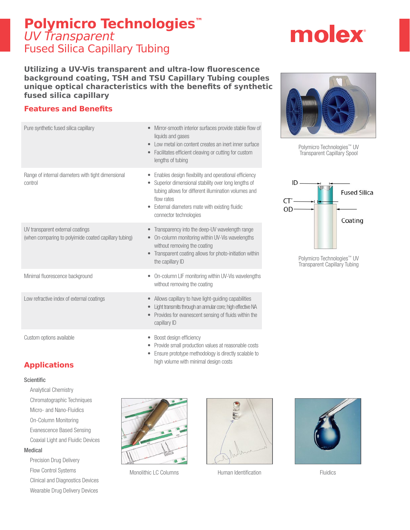# **Polymicro Technologies™** UV Transparent Fused Silica Capillary Tubing

# molex

**Utilizing a UV-Vis transparent and ultra-low fluorescence background coating, TSH and TSU Capillary Tubing couples unique optical characteristics with the benefits of synthetic fused silica capillary**

## **Features and Benefits**

| Pure synthetic fused silica capillary                                                     | Mirror-smooth interior surfaces provide stable flow of<br>liquids and gases<br>Low metal ion content creates an inert inner surface<br>$\bullet$<br>Facilitates efficient cleaving or cutting for custom<br>$\bullet$<br>lengths of tubing                    |
|-------------------------------------------------------------------------------------------|---------------------------------------------------------------------------------------------------------------------------------------------------------------------------------------------------------------------------------------------------------------|
| Range of internal diameters with tight dimensional<br>control                             | Enables design flexibility and operational efficiency<br>Superior dimensional stability over long lengths of<br>tubing allows for different illumination volumes and<br>flow rates<br>External diameters mate with existing fluidic<br>connector technologies |
| UV transparent external coatings<br>(when comparing to polyimide coated capillary tubing) | Transparency into the deep-UV wavelength range<br>$\bullet$<br>On-column monitoring within UV-Vis wavelengths<br>without removing the coating<br>Transparent coating allows for photo-initiation within<br>$\qquad \qquad \bullet$<br>the capillary ID        |
| Minimal fluorescence background                                                           | On-column LIF monitoring within UV-Vis wavelengths<br>٠<br>without removing the coating                                                                                                                                                                       |
| Low refractive index of external coatings                                                 | Allows capillary to have light-guiding capabilities<br>$\qquad \qquad \bullet$<br>Light transmits through an annular core; high effective NA<br>$\bullet$<br>Provides for evanescent sensing of fluids within the<br>capillary ID                             |
| Custom options available                                                                  | Boost design efficiency<br>Provide small production values at reasonable costs                                                                                                                                                                                |

• Ensure prototype methodology is directly scalable to high volume with minimal design costs



Polymicro Technologies™ UV Transparent Capillary Spool



Polymicro Technologies™ UV Transparent Capillary Tubing

## **Applications**

#### Scientific

- Analytical Chemistry
- Chromatographic Techniques Micro- and Nano-Fluidics On-Column Monitoring Evanescence Based Sensing Coaxial Light and Fluidic Devices

#### Medical

Precision Drug Delivery Flow Control Systems Clinical and Diagnostics Devices Wearable Drug Delivery Devices



Monolithic LC Columns **Human Identification** Fluidics